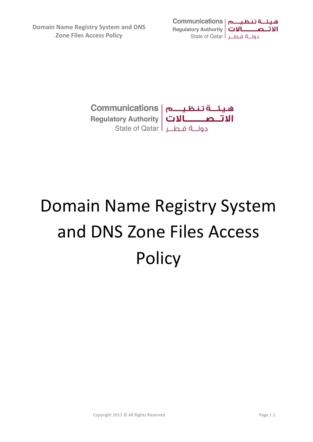**Domain Name Registry System and DNS Zone Files Access Policy**





# Domain Name Registry System and DNS Zone Files Access **Policy**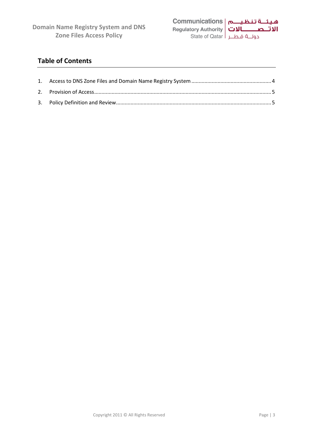

### **Table of Contents**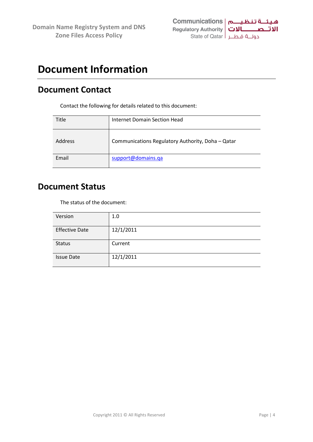

## **Document Information**

## **Document Contact**

Contact the following for details related to this document:

| Title   | Internet Domain Section Head                      |
|---------|---------------------------------------------------|
| Address | Communications Regulatory Authority, Doha - Qatar |
| Email   | support@domains.qa                                |

## **Document Status**

The status of the document:

| Version               | 1.0       |  |  |
|-----------------------|-----------|--|--|
| <b>Effective Date</b> | 12/1/2011 |  |  |
| <b>Status</b>         | Current   |  |  |
| <b>Issue Date</b>     | 12/1/2011 |  |  |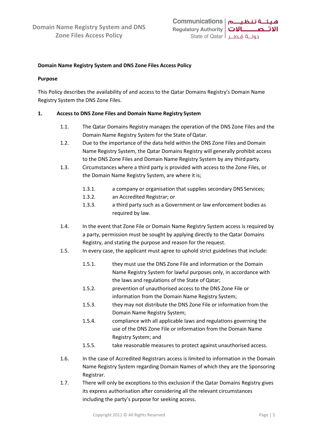

#### **Domain Name Registry System and DNS Zone Files Access Policy**

#### **Purpose**

This Policy describes the availability of and access to the Qatar Domains Registry's Domain Name Registry System the DNS Zone Files.

#### <span id="page-3-0"></span>**1. Access to DNS Zone Files and Domain Name Registry System**

- 1.1. The Qatar Domains Registry manages the operation of the DNS Zone Files and the Domain Name Registry System for the State of Qatar.
- 1.2. Due to the importance of the data held within the DNS Zone Files and Domain Name Registry System, the Qatar Domains Registry will generally prohibit access to the DNS Zone Files and Domain Name Registry System by any third party.
- 1.3. Circumstances where a third party is provided with access to the Zone Files, or the Domain Name Registry System, are where it is;
	- 1.3.1. a company or organisation that supplies secondary DNS Services;
	- 1.3.2. an Accredited Registrar; or
	- 1.3.3. a third party such as a Government or law enforcement bodies as required by law.
- 1.4. In the event that Zone File or Domain Name Registry System access is required by a party, permission must be sought by applying directly to the Qatar Domains Registry, and stating the purpose and reason for the request.
- 1.5. In every case, the applicant must agree to uphold strict guidelines that include:
	- 1.5.1. they must use the DNS Zone File and information or the Domain Name Registry System for lawful purposes only, in accordance with the laws and regulations of the State of Qatar;
	- 1.5.2. prevention of unauthorised access to the DNS Zone File or information from the Domain Name Registry System;
	- 1.5.3. they may not distribute the DNS Zone File or information from the Domain Name Registry System;
	- 1.5.4. compliance with all applicable laws and regulations governing the use of the DNS Zone File or information from the Domain Name Registry System; and
	- 1.5.5. take reasonable measures to protect against unauthorised access.
- 1.6. In the case of Accredited Registrars access is limited to information in the Domain Name Registry System regarding Domain Names of which they are the Sponsoring Registrar.
- 1.7. There will only be exceptions to this exclusion if the Qatar Domains Registry gives its express authorisation after considering all the relevant circumstances including the party's purpose for seeking access.